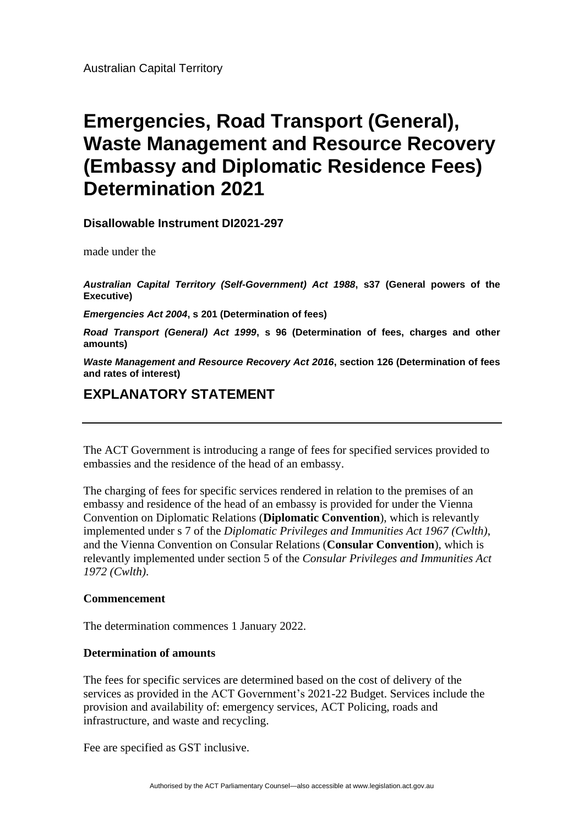# **Emergencies, Road Transport (General), Waste Management and Resource Recovery (Embassy and Diplomatic Residence Fees) Determination 2021**

## **Disallowable Instrument DI2021-297**

made under the

*Australian Capital Territory (Self-Government) Act 1988***, s37 (General powers of the Executive)**

*Emergencies Act 2004***, s 201 (Determination of fees)**

*Road Transport (General) Act 1999***, s 96 (Determination of fees, charges and other amounts)**

*Waste Management and Resource Recovery Act 2016***, section 126 (Determination of fees and rates of interest)**

# **EXPLANATORY STATEMENT**

The ACT Government is introducing a range of fees for specified services provided to embassies and the residence of the head of an embassy.

The charging of fees for specific services rendered in relation to the premises of an embassy and residence of the head of an embassy is provided for under the Vienna Convention on Diplomatic Relations (**Diplomatic Convention**), which is relevantly implemented under s 7 of the *Diplomatic Privileges and Immunities Act 1967 (Cwlth)*, and the Vienna Convention on Consular Relations (**Consular Convention**), which is relevantly implemented under section 5 of the *Consular Privileges and Immunities Act 1972 (Cwlth)*.

#### **Commencement**

The determination commences 1 January 2022.

#### **Determination of amounts**

The fees for specific services are determined based on the cost of delivery of the services as provided in the ACT Government's 2021-22 Budget. Services include the provision and availability of: emergency services, ACT Policing, roads and infrastructure, and waste and recycling.

Fee are specified as GST inclusive.